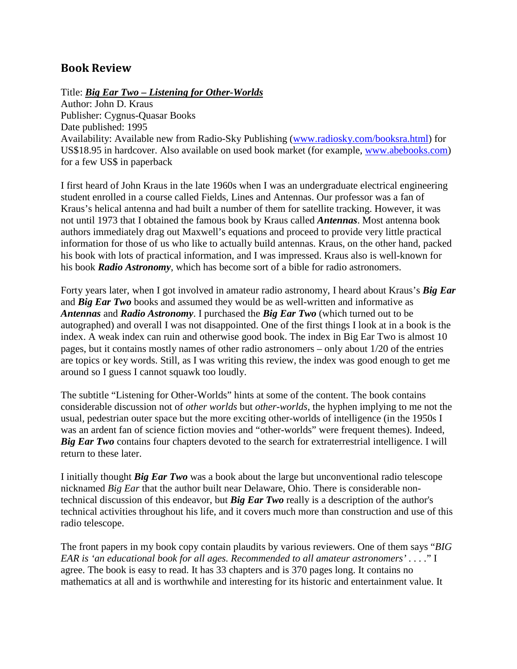## **Book Review**

Title: *Big Ear Two – Listening for Other-Worlds*

Author: John D. Kraus Publisher: Cygnus-Quasar Books Date published: 1995 Availability: Available new from Radio-Sky Publishing (www.radiosky.com/booksra.html) for US\$18.95 in hardcover. Also available on used book market (for example, www.abebooks.com) for a few US\$ in paperback

I first heard of John Kraus in the late 1960s when I was an undergraduate electrical engineering student enrolled in a course called Fields, Lines and Antennas. Our professor was a fan of Kraus's helical antenna and had built a number of them for satellite tracking. However, it was not until 1973 that I obtained the famous book by Kraus called *Antennas*. Most antenna book authors immediately drag out Maxwell's equations and proceed to provide very little practical information for those of us who like to actually build antennas. Kraus, on the other hand, packed his book with lots of practical information, and I was impressed. Kraus also is well-known for his book *Radio Astronomy*, which has become sort of a bible for radio astronomers.

Forty years later, when I got involved in amateur radio astronomy, I heard about Kraus's *Big Ear* and *Big Ear Two* books and assumed they would be as well-written and informative as *Antennas* and *Radio Astronomy*. I purchased the *Big Ear Two* (which turned out to be autographed) and overall I was not disappointed. One of the first things I look at in a book is the index. A weak index can ruin and otherwise good book. The index in Big Ear Two is almost 10 pages, but it contains mostly names of other radio astronomers – only about 1/20 of the entries are topics or key words. Still, as I was writing this review, the index was good enough to get me around so I guess I cannot squawk too loudly.

The subtitle "Listening for Other-Worlds" hints at some of the content. The book contains considerable discussion not of *other worlds* but *other-worlds*, the hyphen implying to me not the usual, pedestrian outer space but the more exciting other-worlds of intelligence (in the 1950s I was an ardent fan of science fiction movies and "other-worlds" were frequent themes). Indeed, *Big Ear Two* contains four chapters devoted to the search for extraterrestrial intelligence. I will return to these later.

I initially thought *Big Ear Two* was a book about the large but unconventional radio telescope nicknamed *Big Ear* that the author built near Delaware, Ohio. There is considerable nontechnical discussion of this endeavor, but *Big Ear Two* really is a description of the author's technical activities throughout his life, and it covers much more than construction and use of this radio telescope.

The front papers in my book copy contain plaudits by various reviewers. One of them says "*BIG EAR is 'an educational book for all ages. Recommended to all amateur astronomers' . . . .*" I agree. The book is easy to read. It has 33 chapters and is 370 pages long. It contains no mathematics at all and is worthwhile and interesting for its historic and entertainment value. It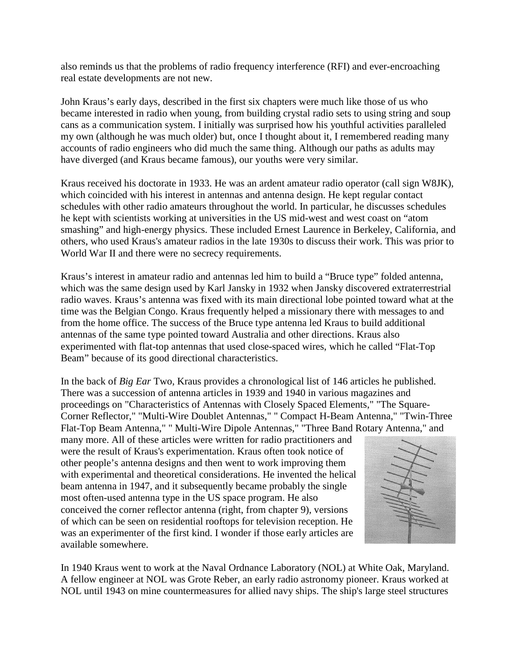also reminds us that the problems of radio frequency interference (RFI) and ever-encroaching real estate developments are not new.

John Kraus's early days, described in the first six chapters were much like those of us who became interested in radio when young, from building crystal radio sets to using string and soup cans as a communication system. I initially was surprised how his youthful activities paralleled my own (although he was much older) but, once I thought about it, I remembered reading many accounts of radio engineers who did much the same thing. Although our paths as adults may have diverged (and Kraus became famous), our youths were very similar.

Kraus received his doctorate in 1933. He was an ardent amateur radio operator (call sign W8JK), which coincided with his interest in antennas and antenna design. He kept regular contact schedules with other radio amateurs throughout the world. In particular, he discusses schedules he kept with scientists working at universities in the US mid-west and west coast on "atom smashing" and high-energy physics. These included Ernest Laurence in Berkeley, California, and others, who used Kraus's amateur radios in the late 1930s to discuss their work. This was prior to World War II and there were no secrecy requirements.

Kraus's interest in amateur radio and antennas led him to build a "Bruce type" folded antenna, which was the same design used by Karl Jansky in 1932 when Jansky discovered extraterrestrial radio waves. Kraus's antenna was fixed with its main directional lobe pointed toward what at the time was the Belgian Congo. Kraus frequently helped a missionary there with messages to and from the home office. The success of the Bruce type antenna led Kraus to build additional antennas of the same type pointed toward Australia and other directions. Kraus also experimented with flat-top antennas that used close-spaced wires, which he called "Flat-Top Beam" because of its good directional characteristics.

In the back of *Big Ear* Two, Kraus provides a chronological list of 146 articles he published. There was a succession of antenna articles in 1939 and 1940 in various magazines and proceedings on "Characteristics of Antennas with Closely Spaced Elements," "The Square-Corner Reflector," "Multi-Wire Doublet Antennas," " Compact H-Beam Antenna," "Twin-Three Flat-Top Beam Antenna," " Multi-Wire Dipole Antennas," "Three Band Rotary Antenna," and

many more. All of these articles were written for radio practitioners and were the result of Kraus's experimentation. Kraus often took notice of other people's antenna designs and then went to work improving them with experimental and theoretical considerations. He invented the helical beam antenna in 1947, and it subsequently became probably the single most often-used antenna type in the US space program. He also conceived the corner reflector antenna (right, from chapter 9), versions of which can be seen on residential rooftops for television reception. He was an experimenter of the first kind. I wonder if those early articles are available somewhere.



In 1940 Kraus went to work at the Naval Ordnance Laboratory (NOL) at White Oak, Maryland. A fellow engineer at NOL was Grote Reber, an early radio astronomy pioneer. Kraus worked at NOL until 1943 on mine countermeasures for allied navy ships. The ship's large steel structures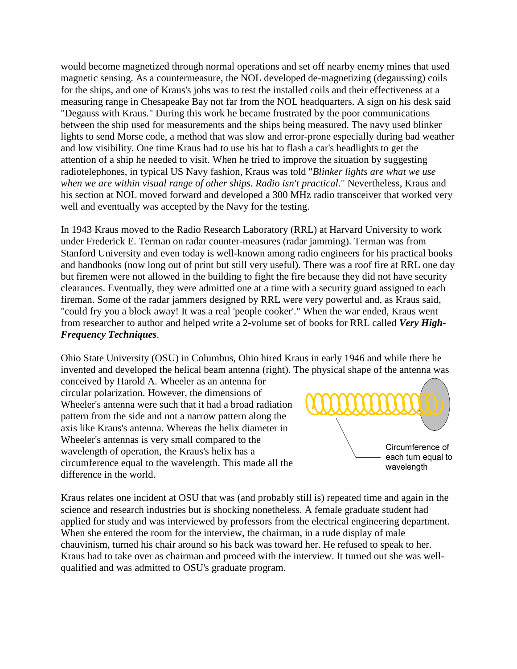would become magnetized through normal operations and set off nearby enemy mines that used magnetic sensing. As a countermeasure, the NOL developed de-magnetizing (degaussing) coils for the ships, and one of Kraus's jobs was to test the installed coils and their effectiveness at a measuring range in Chesapeake Bay not far from the NOL headquarters. A sign on his desk said "Degauss with Kraus." During this work he became frustrated by the poor communications between the ship used for measurements and the ships being measured. The navy used blinker lights to send Morse code, a method that was slow and error-prone especially during bad weather and low visibility. One time Kraus had to use his hat to flash a car's headlights to get the attention of a ship he needed to visit. When he tried to improve the situation by suggesting radiotelephones, in typical US Navy fashion, Kraus was told "*Blinker lights are what we use when we are within visual range of other ships. Radio isn't practical.*" Nevertheless, Kraus and his section at NOL moved forward and developed a 300 MHz radio transceiver that worked very well and eventually was accepted by the Navy for the testing.

In 1943 Kraus moved to the Radio Research Laboratory (RRL) at Harvard University to work under Frederick E. Terman on radar counter-measures (radar jamming). Terman was from Stanford University and even today is well-known among radio engineers for his practical books and handbooks (now long out of print but still very useful). There was a roof fire at RRL one day but firemen were not allowed in the building to fight the fire because they did not have security clearances. Eventually, they were admitted one at a time with a security guard assigned to each fireman. Some of the radar jammers designed by RRL were very powerful and, as Kraus said, "could fry you a block away! It was a real 'people cooker'." When the war ended, Kraus went from researcher to author and helped write a 2-volume set of books for RRL called *Very High-Frequency Techniques*.

Ohio State University (OSU) in Columbus, Ohio hired Kraus in early 1946 and while there he invented and developed the helical beam antenna (right). The physical shape of the antenna was

conceived by Harold A. Wheeler as an antenna for circular polarization. However, the dimensions of Wheeler's antenna were such that it had a broad radiation pattern from the side and not a narrow pattern along the axis like Kraus's antenna. Whereas the helix diameter in Wheeler's antennas is very small compared to the wavelength of operation, the Kraus's helix has a circumference equal to the wavelength. This made all the difference in the world.



Kraus relates one incident at OSU that was (and probably still is) repeated time and again in the science and research industries but is shocking nonetheless. A female graduate student had applied for study and was interviewed by professors from the electrical engineering department. When she entered the room for the interview, the chairman, in a rude display of male chauvinism, turned his chair around so his back was toward her. He refused to speak to her. Kraus had to take over as chairman and proceed with the interview. It turned out she was wellqualified and was admitted to OSU's graduate program.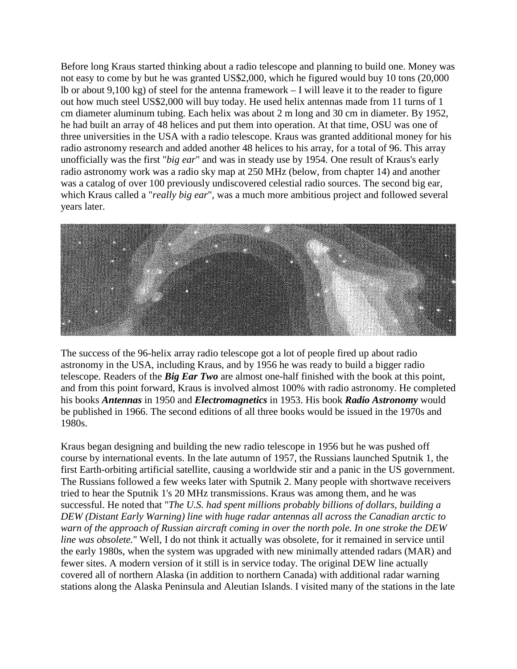Before long Kraus started thinking about a radio telescope and planning to build one. Money was not easy to come by but he was granted US\$2,000, which he figured would buy 10 tons (20,000 lb or about 9,100 kg) of steel for the antenna framework – I will leave it to the reader to figure out how much steel US\$2,000 will buy today. He used helix antennas made from 11 turns of 1 cm diameter aluminum tubing. Each helix was about 2 m long and 30 cm in diameter. By 1952, he had built an array of 48 helices and put them into operation. At that time, OSU was one of three universities in the USA with a radio telescope. Kraus was granted additional money for his radio astronomy research and added another 48 helices to his array, for a total of 96. This array unofficially was the first "*big ear*" and was in steady use by 1954. One result of Kraus's early radio astronomy work was a radio sky map at 250 MHz (below, from chapter 14) and another was a catalog of over 100 previously undiscovered celestial radio sources. The second big ear, which Kraus called a "*really big ear*", was a much more ambitious project and followed several years later.



The success of the 96-helix array radio telescope got a lot of people fired up about radio astronomy in the USA, including Kraus, and by 1956 he was ready to build a bigger radio telescope. Readers of the *Big Ear Two* are almost one-half finished with the book at this point, and from this point forward, Kraus is involved almost 100% with radio astronomy. He completed his books *Antennas* in 1950 and *Electromagnetics* in 1953. His book *Radio Astronomy* would be published in 1966. The second editions of all three books would be issued in the 1970s and 1980s.

Kraus began designing and building the new radio telescope in 1956 but he was pushed off course by international events. In the late autumn of 1957, the Russians launched Sputnik 1, the first Earth-orbiting artificial satellite, causing a worldwide stir and a panic in the US government. The Russians followed a few weeks later with Sputnik 2. Many people with shortwave receivers tried to hear the Sputnik 1's 20 MHz transmissions. Kraus was among them, and he was successful. He noted that "*The U.S. had spent millions probably billions of dollars, building a DEW (Distant Early Warning) line with huge radar antennas all across the Canadian arctic to warn of the approach of Russian aircraft coming in over the north pole. In one stroke the DEW line was obsolete.*" Well, I do not think it actually was obsolete, for it remained in service until the early 1980s, when the system was upgraded with new minimally attended radars (MAR) and fewer sites. A modern version of it still is in service today. The original DEW line actually covered all of northern Alaska (in addition to northern Canada) with additional radar warning stations along the Alaska Peninsula and Aleutian Islands. I visited many of the stations in the late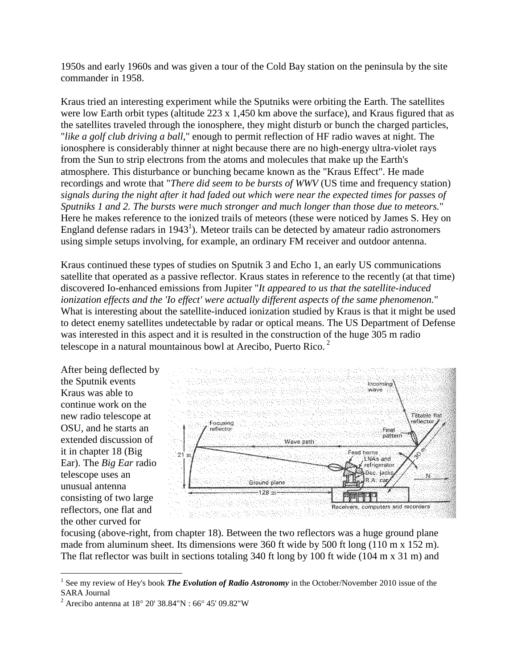1950s and early 1960s and was given a tour of the Cold Bay station on the peninsula by the site commander in 1958.

Kraus tried an interesting experiment while the Sputniks were orbiting the Earth. The satellites were low Earth orbit types (altitude 223 x 1,450 km above the surface), and Kraus figured that as the satellites traveled through the ionosphere, they might disturb or bunch the charged particles, "*like a golf club driving a ball*," enough to permit reflection of HF radio waves at night. The ionosphere is considerably thinner at night because there are no high-energy ultra-violet rays from the Sun to strip electrons from the atoms and molecules that make up the Earth's atmosphere. This disturbance or bunching became known as the "Kraus Effect". He made recordings and wrote that "*There did seem to be bursts of WWV* (US time and frequency station) *signals during the night after it had faded out which were near the expected times for passes of Sputniks 1 and 2. The bursts were much stronger and much longer than those due to meteors.*" Here he makes reference to the ionized trails of meteors (these were noticed by James S. Hey on England defense radars in 1943<sup>1</sup>). Meteor trails can be detected by amateur radio astronomers using simple setups involving, for example, an ordinary FM receiver and outdoor antenna.

Kraus continued these types of studies on Sputnik 3 and Echo 1, an early US communications satellite that operated as a passive reflector. Kraus states in reference to the recently (at that time) discovered Io-enhanced emissions from Jupiter "*It appeared to us that the satellite-induced ionization effects and the 'Io effect' were actually different aspects of the same phenomenon.*" What is interesting about the satellite-induced ionization studied by Kraus is that it might be used to detect enemy satellites undetectable by radar or optical means. The US Department of Defense was interested in this aspect and it is resulted in the construction of the huge 305 m radio telescope in a natural mountainous bowl at Arecibo, Puerto Rico.<sup>2</sup>

After being deflected by the Sputnik events Kraus was able to continue work on the new radio telescope at OSU, and he starts an extended discussion of it in chapter 18 (Big Ear). The *Big Ear* radio telescope uses an unusual antenna consisting of two large reflectors, one flat and the other curved for



focusing (above-right, from chapter 18). Between the two reflectors was a huge ground plane made from aluminum sheet. Its dimensions were 360 ft wide by 500 ft long (110 m x 152 m). The flat reflector was built in sections totaling 340 ft long by 100 ft wide (104 m x 31 m) and

<sup>&</sup>lt;sup>1</sup> See my review of Hey's book *The Evolution of Radio Astronomy* in the October/November 2010 issue of the SARA Journal

<sup>&</sup>lt;sup>2</sup> Arecibo antenna at 18° 20′ 38.84"N : 66° 45′ 09.82"W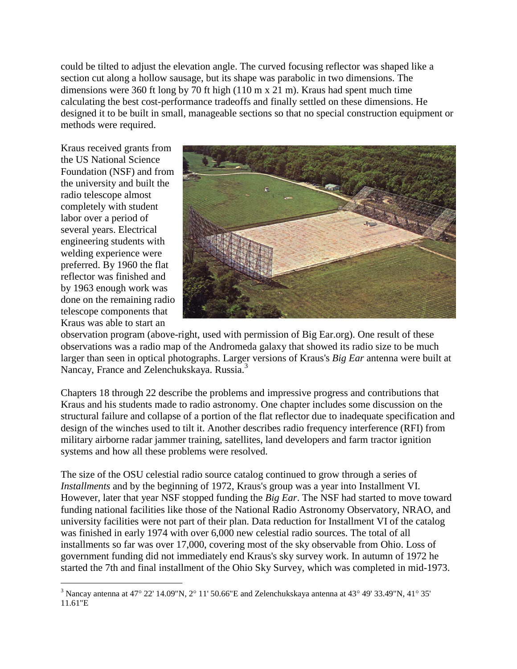could be tilted to adjust the elevation angle. The curved focusing reflector was shaped like a section cut along a hollow sausage, but its shape was parabolic in two dimensions. The dimensions were 360 ft long by 70 ft high (110 m x 21 m). Kraus had spent much time calculating the best cost-performance tradeoffs and finally settled on these dimensions. He designed it to be built in small, manageable sections so that no special construction equipment or methods were required.

Kraus received grants from the US National Science Foundation (NSF) and from the university and built the radio telescope almost completely with student labor over a period of several years. Electrical engineering students with welding experience were preferred. By 1960 the flat reflector was finished and by 1963 enough work was done on the remaining radio telescope components that Kraus was able to start an



observation program (above-right, used with permission of Big Ear.org). One result of these observations was a radio map of the Andromeda galaxy that showed its radio size to be much larger than seen in optical photographs. Larger versions of Kraus's *Big Ear* antenna were built at Nancay, France and Zelenchukskaya. Russia.<sup>3</sup>

Chapters 18 through 22 describe the problems and impressive progress and contributions that Kraus and his students made to radio astronomy. One chapter includes some discussion on the structural failure and collapse of a portion of the flat reflector due to inadequate specification and design of the winches used to tilt it. Another describes radio frequency interference (RFI) from military airborne radar jammer training, satellites, land developers and farm tractor ignition systems and how all these problems were resolved.

The size of the OSU celestial radio source catalog continued to grow through a series of *Installments* and by the beginning of 1972, Kraus's group was a year into Installment VI. However, later that year NSF stopped funding the *Big Ear*. The NSF had started to move toward funding national facilities like those of the National Radio Astronomy Observatory, NRAO, and university facilities were not part of their plan. Data reduction for Installment VI of the catalog was finished in early 1974 with over 6,000 new celestial radio sources. The total of all installments so far was over 17,000, covering most of the sky observable from Ohio. Loss of government funding did not immediately end Kraus's sky survey work. In autumn of 1972 he started the 7th and final installment of the Ohio Sky Survey, which was completed in mid-1973.

<sup>&</sup>lt;sup>3</sup> Nancay antenna at 47° 22' 14.09"N, 2° 11' 50.66"E and Zelenchukskaya antenna at 43° 49' 33.49"N, 41° 35' 11.61"E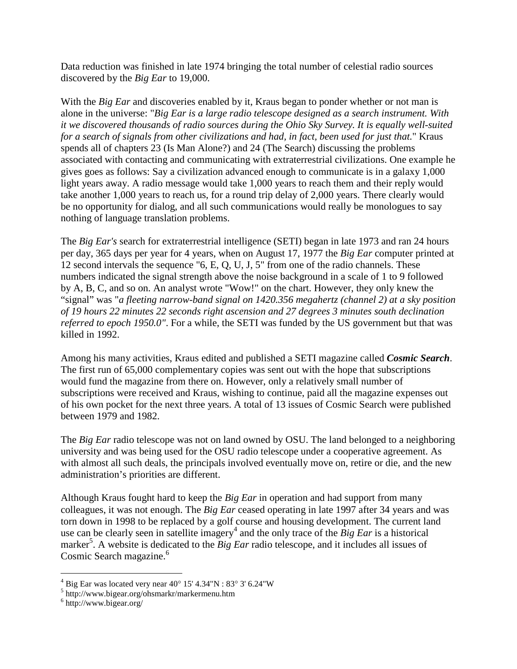Data reduction was finished in late 1974 bringing the total number of celestial radio sources discovered by the *Big Ear* to 19,000.

With the *Big Ear* and discoveries enabled by it, Kraus began to ponder whether or not man is alone in the universe: "*Big Ear is a large radio telescope designed as a search instrument. With it we discovered thousands of radio sources during the Ohio Sky Survey. It is equally well-suited for a search of signals from other civilizations and had, in fact, been used for just that.*" Kraus spends all of chapters 23 (Is Man Alone?) and 24 (The Search) discussing the problems associated with contacting and communicating with extraterrestrial civilizations. One example he gives goes as follows: Say a civilization advanced enough to communicate is in a galaxy 1,000 light years away. A radio message would take 1,000 years to reach them and their reply would take another 1,000 years to reach us, for a round trip delay of 2,000 years. There clearly would be no opportunity for dialog, and all such communications would really be monologues to say nothing of language translation problems.

The *Big Ear's* search for extraterrestrial intelligence (SETI) began in late 1973 and ran 24 hours per day, 365 days per year for 4 years, when on August 17, 1977 the *Big Ear* computer printed at 12 second intervals the sequence "6, E, Q, U, J, 5" from one of the radio channels. These numbers indicated the signal strength above the noise background in a scale of 1 to 9 followed by A, B, C, and so on. An analyst wrote "Wow!" on the chart. However, they only knew the "signal" was "*a fleeting narrow-band signal on 1420.356 megahertz (channel 2) at a sky position of 19 hours 22 minutes 22 seconds right ascension and 27 degrees 3 minutes south declination referred to epoch 1950.0"*. For a while, the SETI was funded by the US government but that was killed in 1992.

Among his many activities, Kraus edited and published a SETI magazine called *Cosmic Search*. The first run of 65,000 complementary copies was sent out with the hope that subscriptions would fund the magazine from there on. However, only a relatively small number of subscriptions were received and Kraus, wishing to continue, paid all the magazine expenses out of his own pocket for the next three years. A total of 13 issues of Cosmic Search were published between 1979 and 1982.

The *Big Ear* radio telescope was not on land owned by OSU. The land belonged to a neighboring university and was being used for the OSU radio telescope under a cooperative agreement. As with almost all such deals, the principals involved eventually move on, retire or die, and the new administration's priorities are different.

Although Kraus fought hard to keep the *Big Ear* in operation and had support from many colleagues, it was not enough. The *Big Ear* ceased operating in late 1997 after 34 years and was torn down in 1998 to be replaced by a golf course and housing development. The current land use can be clearly seen in satellite imagery<sup>4</sup> and the only trace of the *Big Ear* is a historical marker<sup>5</sup>. A website is dedicated to the *Big Ear* radio telescope, and it includes all issues of Cosmic Search magazine.<sup>6</sup>

 $4$  Big Ear was located very near 40 $\degree$  15' 4.34"N : 83 $\degree$  3' 6.24"W

 $5$  http://www.bigear.org/ohsmarkr/markermenu.htm

<sup>6</sup> http://www.bigear.org/